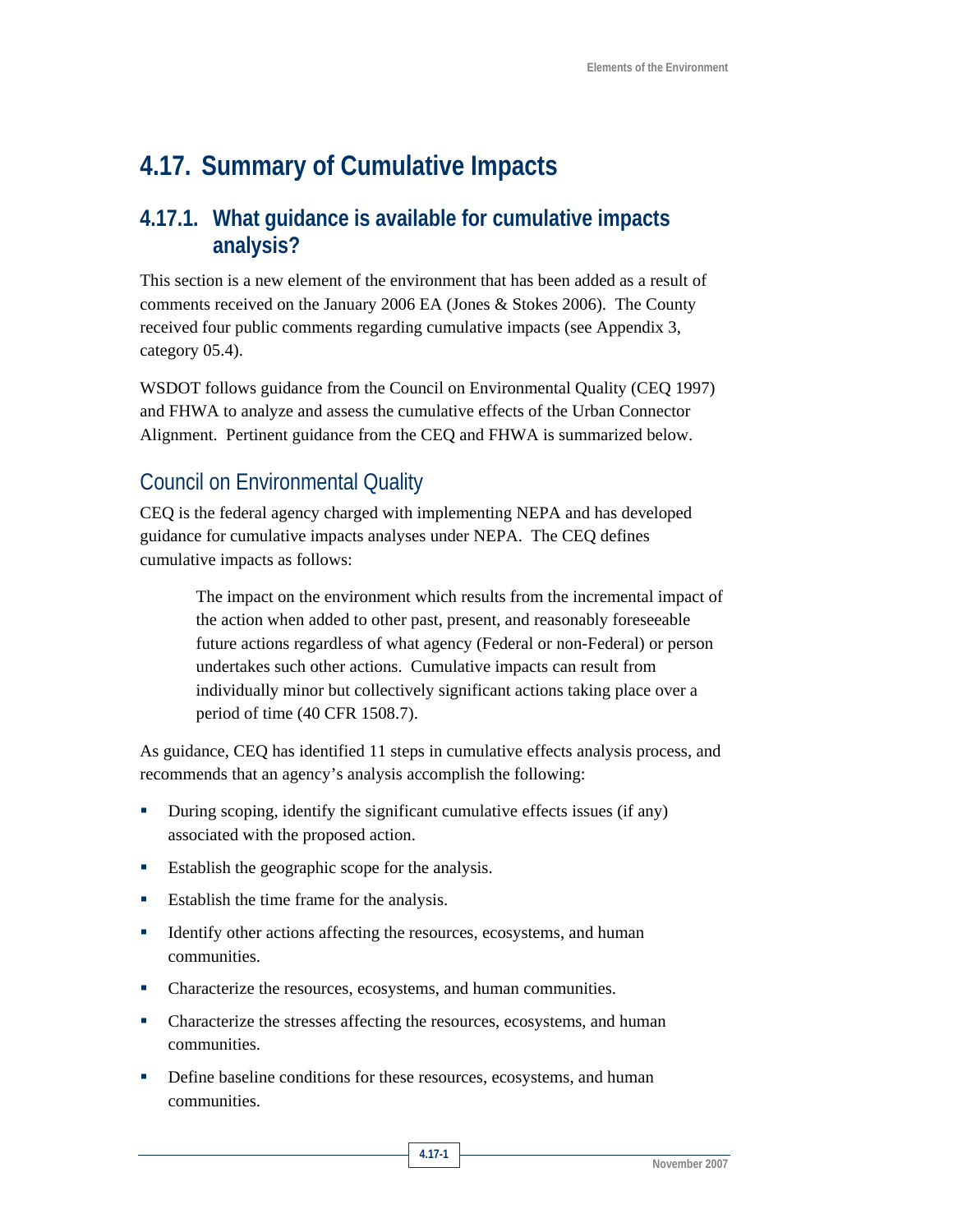# **4.17. Summary of Cumulative Impacts**

### **4.17.1. What guidance is available for cumulative impacts analysis?**

This section is a new element of the environment that has been added as a result of comments received on the January 2006 EA (Jones & Stokes 2006). The County received four public comments regarding cumulative impacts (see Appendix 3, category 05.4).

WSDOT follows guidance from the Council on Environmental Quality (CEQ 1997) and FHWA to analyze and assess the cumulative effects of the Urban Connector Alignment. Pertinent guidance from the CEQ and FHWA is summarized below.

# Council on Environmental Quality

CEQ is the federal agency charged with implementing NEPA and has developed guidance for cumulative impacts analyses under NEPA. The CEQ defines cumulative impacts as follows:

> The impact on the environment which results from the incremental impact of the action when added to other past, present, and reasonably foreseeable future actions regardless of what agency (Federal or non-Federal) or person undertakes such other actions. Cumulative impacts can result from individually minor but collectively significant actions taking place over a period of time (40 CFR 1508.7).

As guidance, CEQ has identified 11 steps in cumulative effects analysis process, and recommends that an agency's analysis accomplish the following:

- During scoping, identify the significant cumulative effects issues (if any) associated with the proposed action.
- Establish the geographic scope for the analysis.
- Establish the time frame for the analysis.
- Identify other actions affecting the resources, ecosystems, and human communities.
- Characterize the resources, ecosystems, and human communities.
- Characterize the stresses affecting the resources, ecosystems, and human communities.
- Define baseline conditions for these resources, ecosystems, and human communities.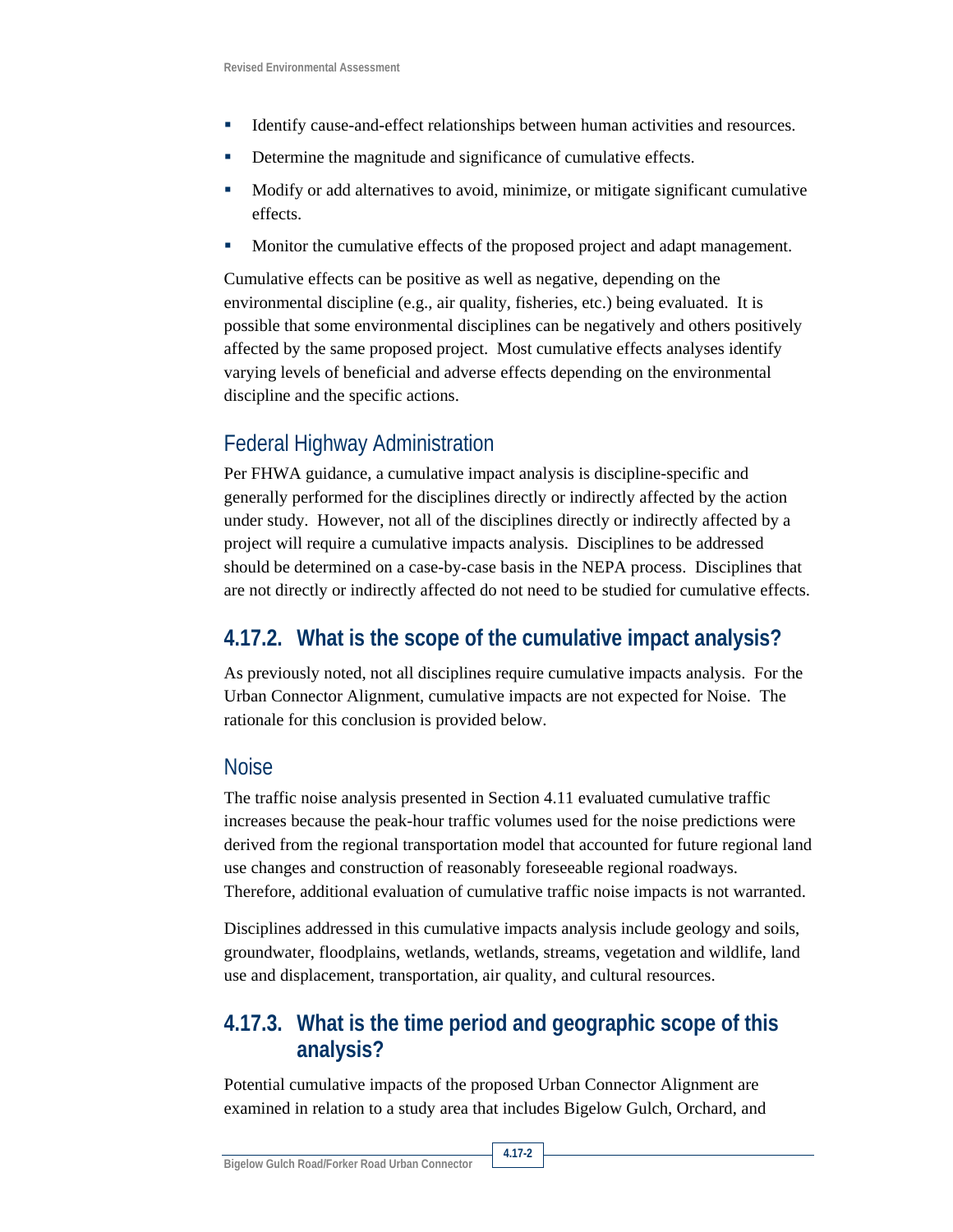- Identify cause-and-effect relationships between human activities and resources.
- Determine the magnitude and significance of cumulative effects.
- Modify or add alternatives to avoid, minimize, or mitigate significant cumulative effects.
- **Monitor the cumulative effects of the proposed project and adapt management.**

Cumulative effects can be positive as well as negative, depending on the environmental discipline (e.g., air quality, fisheries, etc.) being evaluated. It is possible that some environmental disciplines can be negatively and others positively affected by the same proposed project. Most cumulative effects analyses identify varying levels of beneficial and adverse effects depending on the environmental discipline and the specific actions.

# Federal Highway Administration

Per FHWA guidance, a cumulative impact analysis is discipline-specific and generally performed for the disciplines directly or indirectly affected by the action under study. However, not all of the disciplines directly or indirectly affected by a project will require a cumulative impacts analysis. Disciplines to be addressed should be determined on a case-by-case basis in the NEPA process. Disciplines that are not directly or indirectly affected do not need to be studied for cumulative effects.

## **4.17.2. What is the scope of the cumulative impact analysis?**

As previously noted, not all disciplines require cumulative impacts analysis. For the Urban Connector Alignment, cumulative impacts are not expected for Noise. The rationale for this conclusion is provided below.

#### **Noise**

The traffic noise analysis presented in Section 4.11 evaluated cumulative traffic increases because the peak-hour traffic volumes used for the noise predictions were derived from the regional transportation model that accounted for future regional land use changes and construction of reasonably foreseeable regional roadways. Therefore, additional evaluation of cumulative traffic noise impacts is not warranted.

Disciplines addressed in this cumulative impacts analysis include geology and soils, groundwater, floodplains, wetlands, wetlands, streams, vegetation and wildlife, land use and displacement, transportation, air quality, and cultural resources.

## **4.17.3. What is the time period and geographic scope of this analysis?**

Potential cumulative impacts of the proposed Urban Connector Alignment are examined in relation to a study area that includes Bigelow Gulch, Orchard, and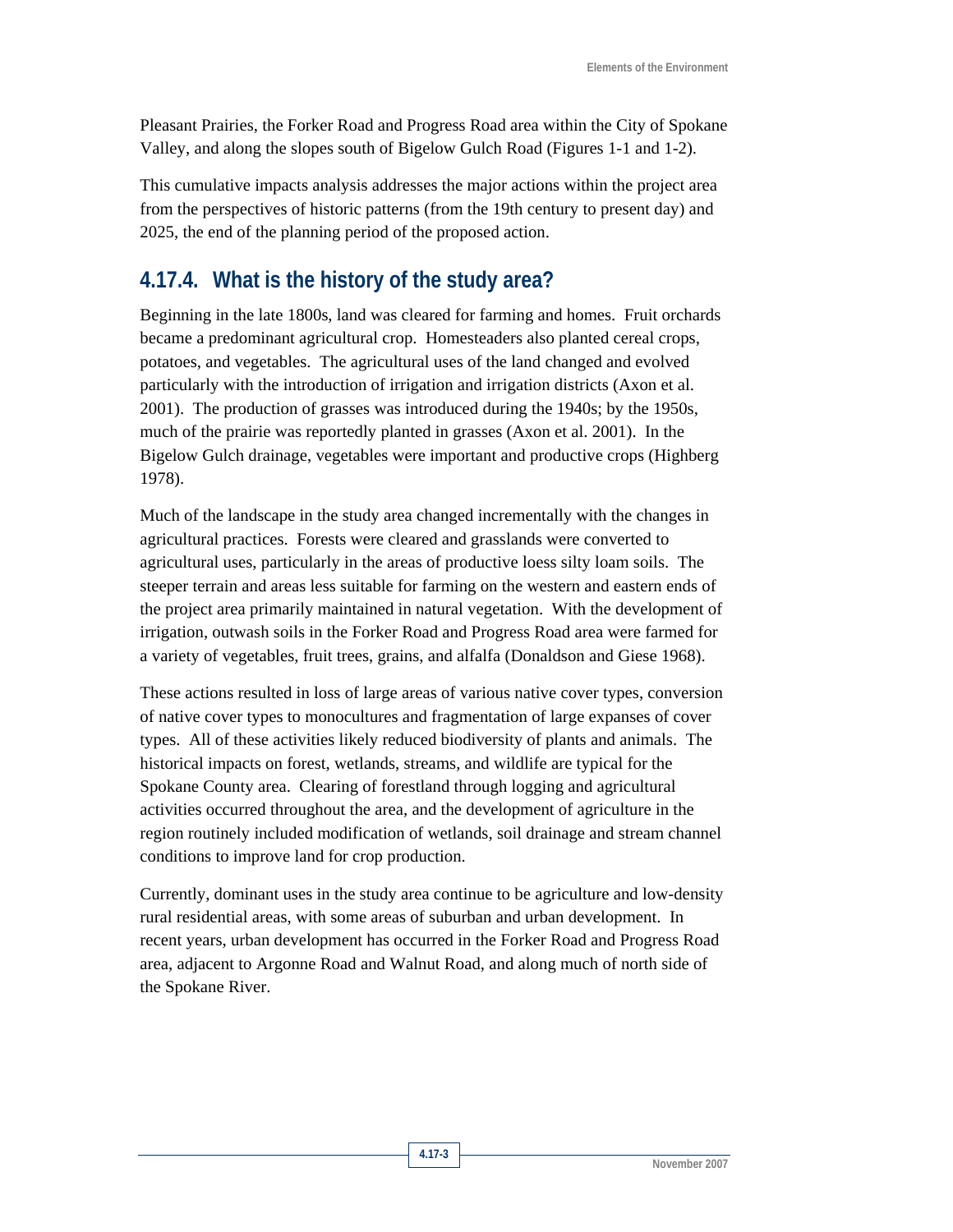Pleasant Prairies, the Forker Road and Progress Road area within the City of Spokane Valley, and along the slopes south of Bigelow Gulch Road (Figures 1-1 and 1-2).

This cumulative impacts analysis addresses the major actions within the project area from the perspectives of historic patterns (from the 19th century to present day) and 2025, the end of the planning period of the proposed action.

### **4.17.4. What is the history of the study area?**

Beginning in the late 1800s, land was cleared for farming and homes. Fruit orchards became a predominant agricultural crop. Homesteaders also planted cereal crops, potatoes, and vegetables. The agricultural uses of the land changed and evolved particularly with the introduction of irrigation and irrigation districts (Axon et al. 2001). The production of grasses was introduced during the 1940s; by the 1950s, much of the prairie was reportedly planted in grasses (Axon et al. 2001). In the Bigelow Gulch drainage, vegetables were important and productive crops (Highberg 1978).

Much of the landscape in the study area changed incrementally with the changes in agricultural practices. Forests were cleared and grasslands were converted to agricultural uses, particularly in the areas of productive loess silty loam soils. The steeper terrain and areas less suitable for farming on the western and eastern ends of the project area primarily maintained in natural vegetation. With the development of irrigation, outwash soils in the Forker Road and Progress Road area were farmed for a variety of vegetables, fruit trees, grains, and alfalfa (Donaldson and Giese 1968).

These actions resulted in loss of large areas of various native cover types, conversion of native cover types to monocultures and fragmentation of large expanses of cover types. All of these activities likely reduced biodiversity of plants and animals. The historical impacts on forest, wetlands, streams, and wildlife are typical for the Spokane County area. Clearing of forestland through logging and agricultural activities occurred throughout the area, and the development of agriculture in the region routinely included modification of wetlands, soil drainage and stream channel conditions to improve land for crop production.

Currently, dominant uses in the study area continue to be agriculture and low-density rural residential areas, with some areas of suburban and urban development. In recent years, urban development has occurred in the Forker Road and Progress Road area, adjacent to Argonne Road and Walnut Road, and along much of north side of the Spokane River.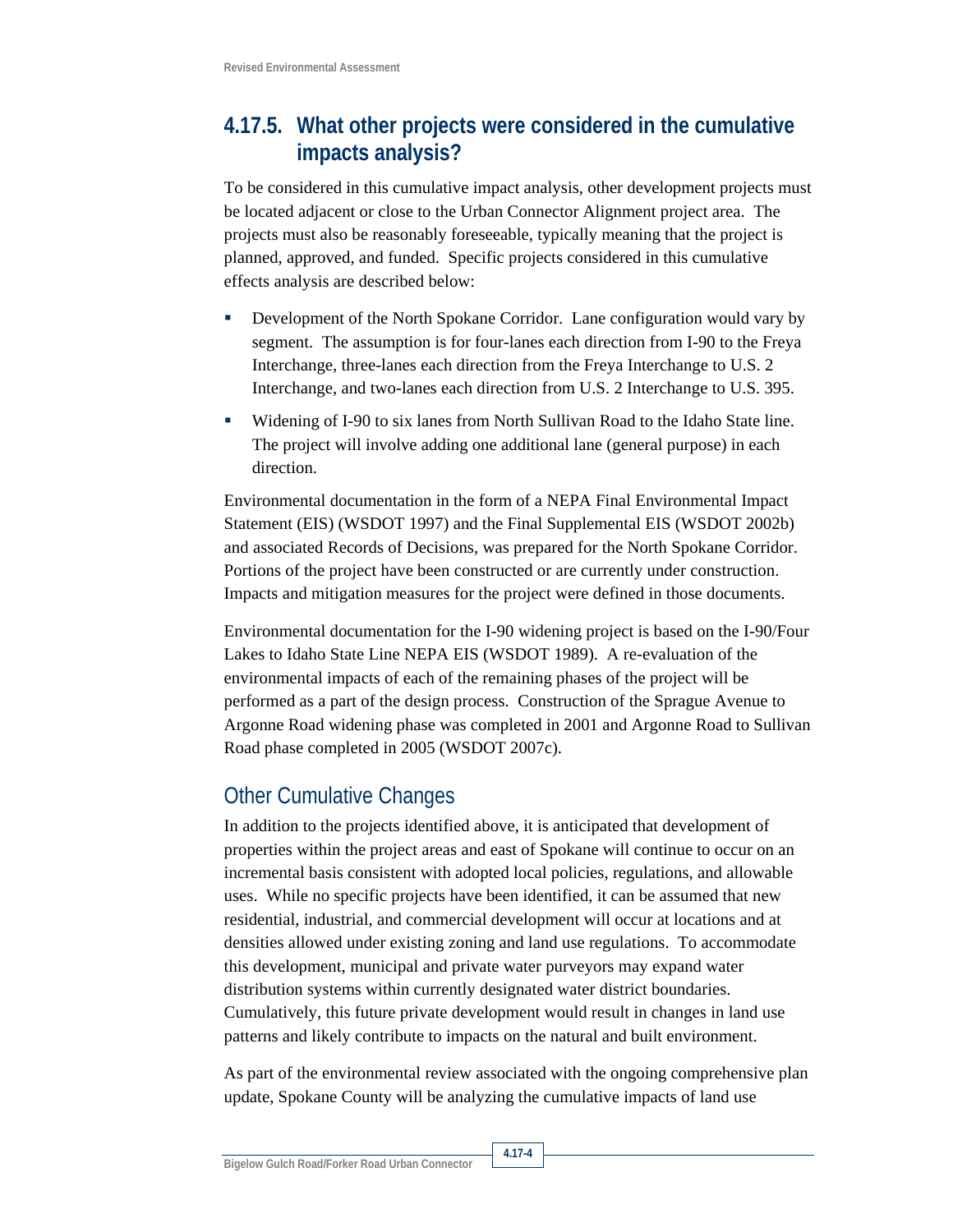## **4.17.5. What other projects were considered in the cumulative impacts analysis?**

To be considered in this cumulative impact analysis, other development projects must be located adjacent or close to the Urban Connector Alignment project area. The projects must also be reasonably foreseeable, typically meaning that the project is planned, approved, and funded. Specific projects considered in this cumulative effects analysis are described below:

- Development of the North Spokane Corridor. Lane configuration would vary by segment. The assumption is for four-lanes each direction from I-90 to the Freya Interchange, three-lanes each direction from the Freya Interchange to U.S. 2 Interchange, and two-lanes each direction from U.S. 2 Interchange to U.S. 395.
- Widening of I-90 to six lanes from North Sullivan Road to the Idaho State line. The project will involve adding one additional lane (general purpose) in each direction.

Environmental documentation in the form of a NEPA Final Environmental Impact Statement (EIS) (WSDOT 1997) and the Final Supplemental EIS (WSDOT 2002b) and associated Records of Decisions, was prepared for the North Spokane Corridor. Portions of the project have been constructed or are currently under construction. Impacts and mitigation measures for the project were defined in those documents.

Environmental documentation for the I-90 widening project is based on the I-90/Four Lakes to Idaho State Line NEPA EIS (WSDOT 1989). A re-evaluation of the environmental impacts of each of the remaining phases of the project will be performed as a part of the design process. Construction of the Sprague Avenue to Argonne Road widening phase was completed in 2001 and Argonne Road to Sullivan Road phase completed in 2005 (WSDOT 2007c).

## Other Cumulative Changes

In addition to the projects identified above, it is anticipated that development of properties within the project areas and east of Spokane will continue to occur on an incremental basis consistent with adopted local policies, regulations, and allowable uses. While no specific projects have been identified, it can be assumed that new residential, industrial, and commercial development will occur at locations and at densities allowed under existing zoning and land use regulations. To accommodate this development, municipal and private water purveyors may expand water distribution systems within currently designated water district boundaries. Cumulatively, this future private development would result in changes in land use patterns and likely contribute to impacts on the natural and built environment.

As part of the environmental review associated with the ongoing comprehensive plan update, Spokane County will be analyzing the cumulative impacts of land use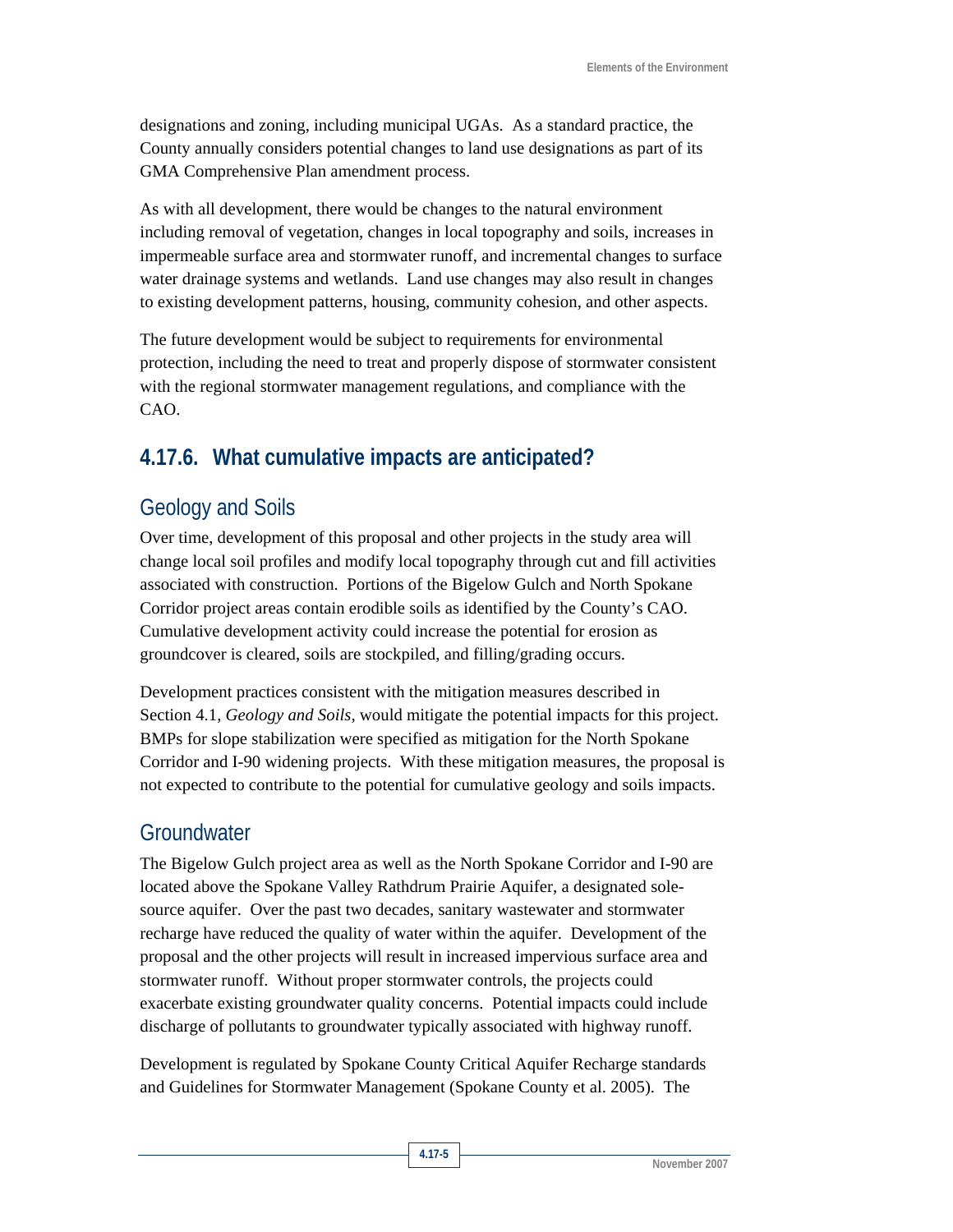designations and zoning, including municipal UGAs. As a standard practice, the County annually considers potential changes to land use designations as part of its GMA Comprehensive Plan amendment process.

As with all development, there would be changes to the natural environment including removal of vegetation, changes in local topography and soils, increases in impermeable surface area and stormwater runoff, and incremental changes to surface water drainage systems and wetlands. Land use changes may also result in changes to existing development patterns, housing, community cohesion, and other aspects.

The future development would be subject to requirements for environmental protection, including the need to treat and properly dispose of stormwater consistent with the regional stormwater management regulations, and compliance with the CAO.

# **4.17.6. What cumulative impacts are anticipated?**

# Geology and Soils

Over time, development of this proposal and other projects in the study area will change local soil profiles and modify local topography through cut and fill activities associated with construction. Portions of the Bigelow Gulch and North Spokane Corridor project areas contain erodible soils as identified by the County's CAO. Cumulative development activity could increase the potential for erosion as groundcover is cleared, soils are stockpiled, and filling/grading occurs.

Development practices consistent with the mitigation measures described in Section 4.1, *Geology and Soils,* would mitigate the potential impacts for this project. BMPs for slope stabilization were specified as mitigation for the North Spokane Corridor and I-90 widening projects. With these mitigation measures, the proposal is not expected to contribute to the potential for cumulative geology and soils impacts.

### **Groundwater**

The Bigelow Gulch project area as well as the North Spokane Corridor and I-90 are located above the Spokane Valley Rathdrum Prairie Aquifer, a designated solesource aquifer. Over the past two decades, sanitary wastewater and stormwater recharge have reduced the quality of water within the aquifer. Development of the proposal and the other projects will result in increased impervious surface area and stormwater runoff. Without proper stormwater controls, the projects could exacerbate existing groundwater quality concerns. Potential impacts could include discharge of pollutants to groundwater typically associated with highway runoff.

Development is regulated by Spokane County Critical Aquifer Recharge standards and Guidelines for Stormwater Management (Spokane County et al. 2005). The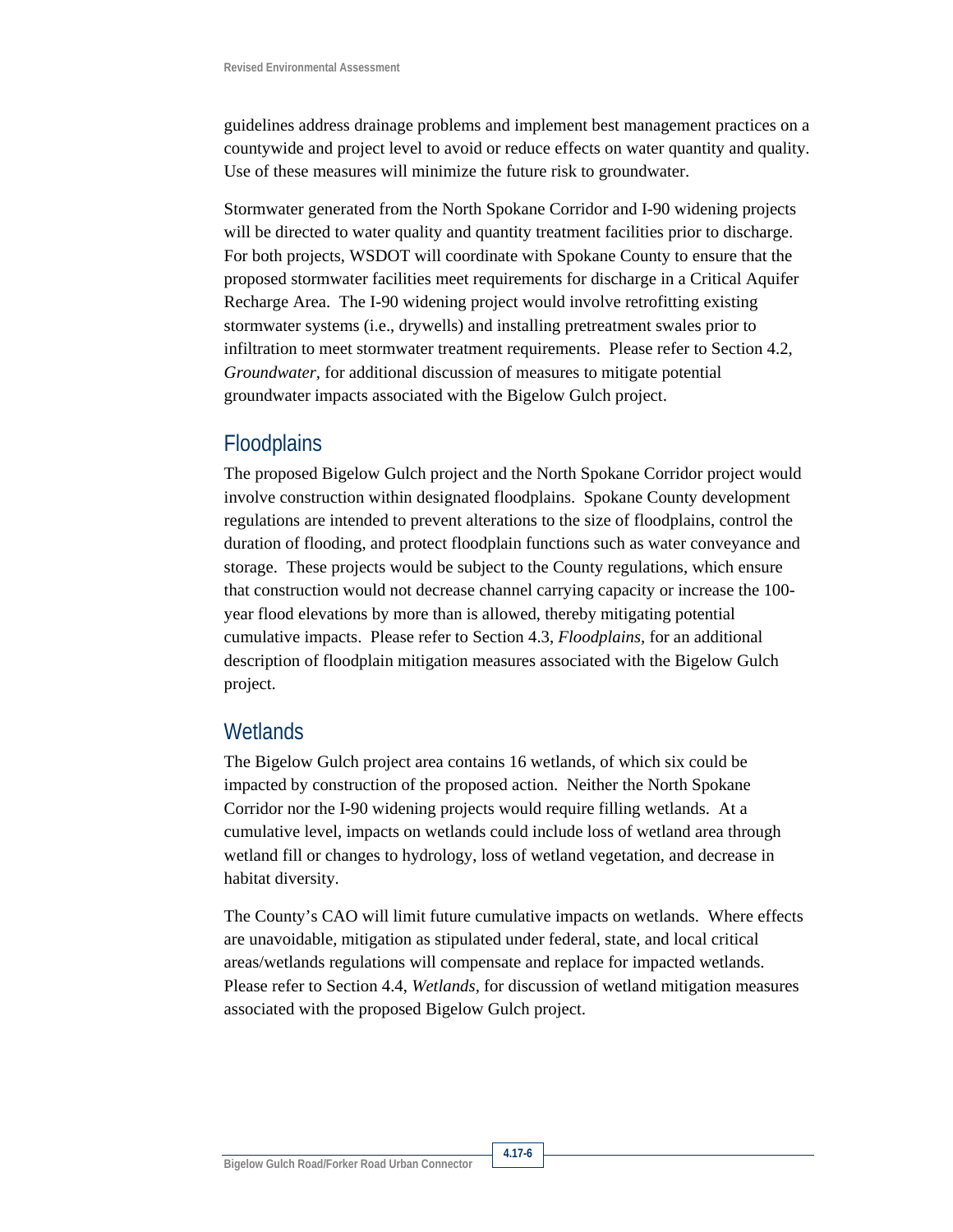guidelines address drainage problems and implement best management practices on a countywide and project level to avoid or reduce effects on water quantity and quality. Use of these measures will minimize the future risk to groundwater.

Stormwater generated from the North Spokane Corridor and I-90 widening projects will be directed to water quality and quantity treatment facilities prior to discharge. For both projects, WSDOT will coordinate with Spokane County to ensure that the proposed stormwater facilities meet requirements for discharge in a Critical Aquifer Recharge Area. The I-90 widening project would involve retrofitting existing stormwater systems (i.e., drywells) and installing pretreatment swales prior to infiltration to meet stormwater treatment requirements. Please refer to Section 4.2, *Groundwater,* for additional discussion of measures to mitigate potential groundwater impacts associated with the Bigelow Gulch project.

#### **Floodplains**

The proposed Bigelow Gulch project and the North Spokane Corridor project would involve construction within designated floodplains. Spokane County development regulations are intended to prevent alterations to the size of floodplains, control the duration of flooding, and protect floodplain functions such as water conveyance and storage. These projects would be subject to the County regulations, which ensure that construction would not decrease channel carrying capacity or increase the 100 year flood elevations by more than is allowed, thereby mitigating potential cumulative impacts. Please refer to Section 4.3, *Floodplains,* for an additional description of floodplain mitigation measures associated with the Bigelow Gulch project.

#### **Wetlands**

The Bigelow Gulch project area contains 16 wetlands, of which six could be impacted by construction of the proposed action. Neither the North Spokane Corridor nor the I-90 widening projects would require filling wetlands. At a cumulative level, impacts on wetlands could include loss of wetland area through wetland fill or changes to hydrology, loss of wetland vegetation, and decrease in habitat diversity.

The County's CAO will limit future cumulative impacts on wetlands. Where effects are unavoidable, mitigation as stipulated under federal, state, and local critical areas/wetlands regulations will compensate and replace for impacted wetlands. Please refer to Section 4.4, *Wetlands,* for discussion of wetland mitigation measures associated with the proposed Bigelow Gulch project.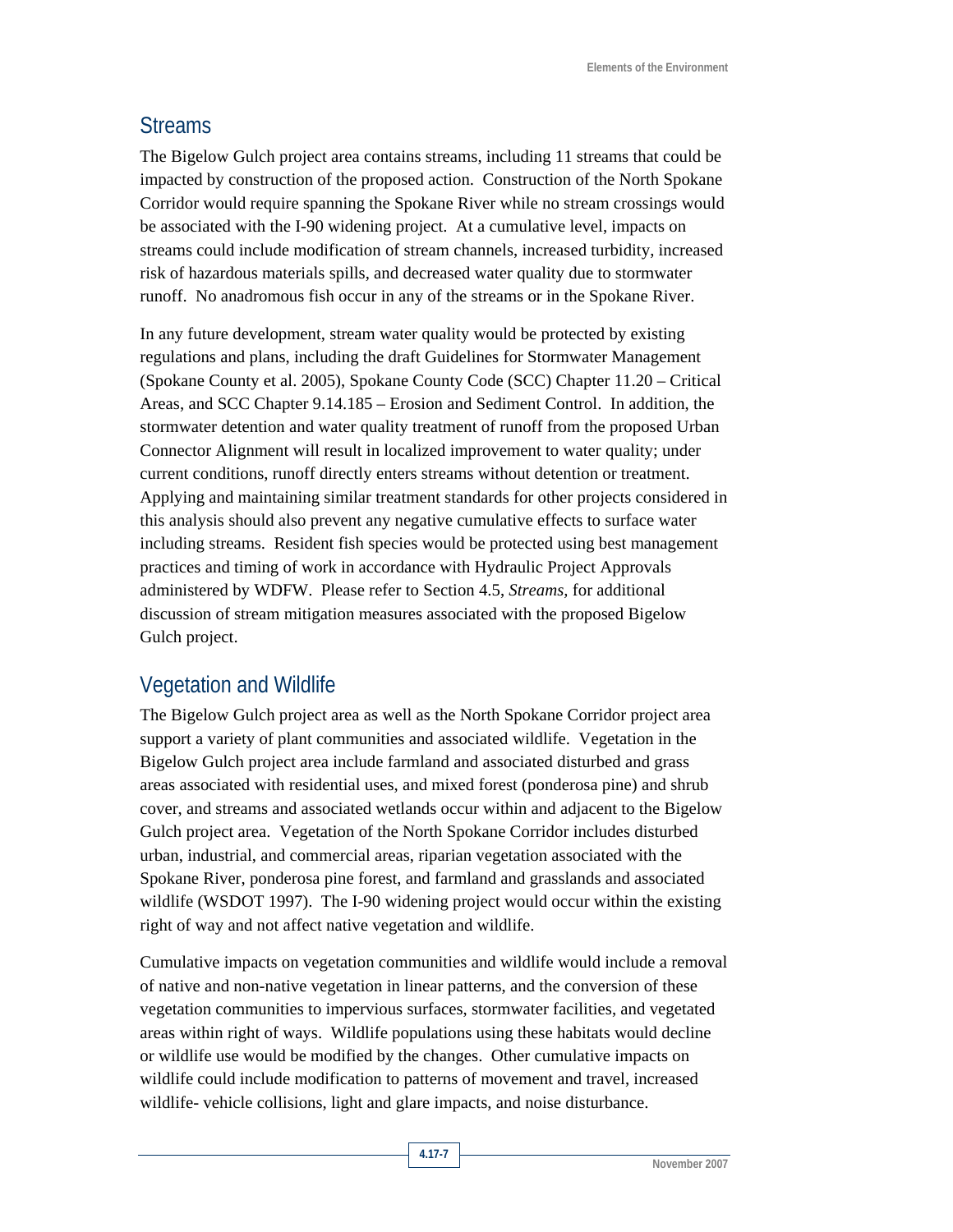#### Streams

The Bigelow Gulch project area contains streams, including 11 streams that could be impacted by construction of the proposed action. Construction of the North Spokane Corridor would require spanning the Spokane River while no stream crossings would be associated with the I-90 widening project. At a cumulative level, impacts on streams could include modification of stream channels, increased turbidity, increased risk of hazardous materials spills, and decreased water quality due to stormwater runoff. No anadromous fish occur in any of the streams or in the Spokane River.

In any future development, stream water quality would be protected by existing regulations and plans, including the draft Guidelines for Stormwater Management (Spokane County et al. 2005), Spokane County Code (SCC) Chapter 11.20 – Critical Areas, and SCC Chapter 9.14.185 – Erosion and Sediment Control. In addition, the stormwater detention and water quality treatment of runoff from the proposed Urban Connector Alignment will result in localized improvement to water quality; under current conditions, runoff directly enters streams without detention or treatment. Applying and maintaining similar treatment standards for other projects considered in this analysis should also prevent any negative cumulative effects to surface water including streams. Resident fish species would be protected using best management practices and timing of work in accordance with Hydraulic Project Approvals administered by WDFW. Please refer to Section 4.5, *Streams,* for additional discussion of stream mitigation measures associated with the proposed Bigelow Gulch project.

## Vegetation and Wildlife

The Bigelow Gulch project area as well as the North Spokane Corridor project area support a variety of plant communities and associated wildlife. Vegetation in the Bigelow Gulch project area include farmland and associated disturbed and grass areas associated with residential uses, and mixed forest (ponderosa pine) and shrub cover, and streams and associated wetlands occur within and adjacent to the Bigelow Gulch project area. Vegetation of the North Spokane Corridor includes disturbed urban, industrial, and commercial areas, riparian vegetation associated with the Spokane River, ponderosa pine forest, and farmland and grasslands and associated wildlife (WSDOT 1997). The I-90 widening project would occur within the existing right of way and not affect native vegetation and wildlife.

Cumulative impacts on vegetation communities and wildlife would include a removal of native and non-native vegetation in linear patterns, and the conversion of these vegetation communities to impervious surfaces, stormwater facilities, and vegetated areas within right of ways. Wildlife populations using these habitats would decline or wildlife use would be modified by the changes. Other cumulative impacts on wildlife could include modification to patterns of movement and travel, increased wildlife- vehicle collisions, light and glare impacts, and noise disturbance.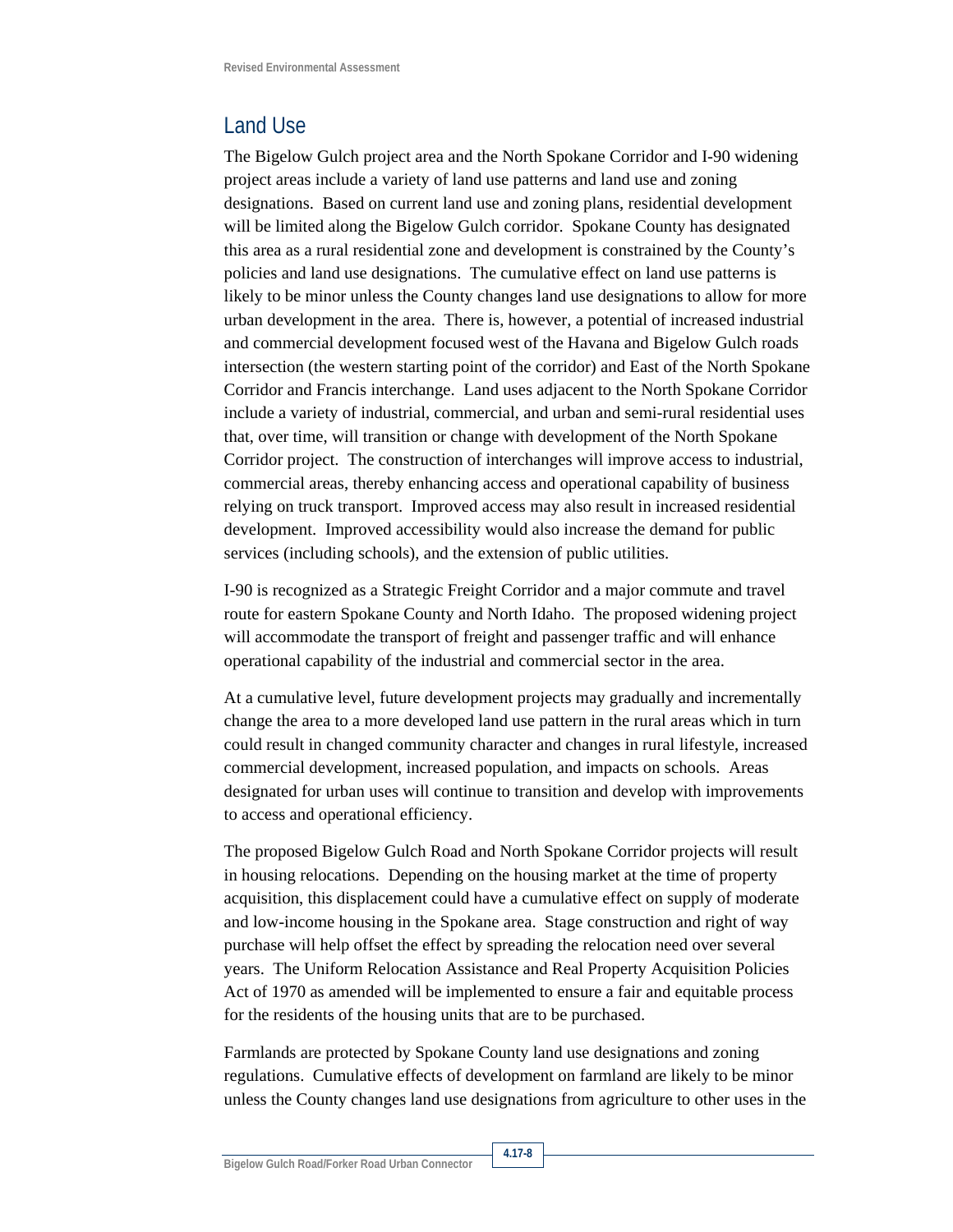### Land Use

The Bigelow Gulch project area and the North Spokane Corridor and I-90 widening project areas include a variety of land use patterns and land use and zoning designations. Based on current land use and zoning plans, residential development will be limited along the Bigelow Gulch corridor. Spokane County has designated this area as a rural residential zone and development is constrained by the County's policies and land use designations. The cumulative effect on land use patterns is likely to be minor unless the County changes land use designations to allow for more urban development in the area. There is, however, a potential of increased industrial and commercial development focused west of the Havana and Bigelow Gulch roads intersection (the western starting point of the corridor) and East of the North Spokane Corridor and Francis interchange. Land uses adjacent to the North Spokane Corridor include a variety of industrial, commercial, and urban and semi-rural residential uses that, over time, will transition or change with development of the North Spokane Corridor project. The construction of interchanges will improve access to industrial, commercial areas, thereby enhancing access and operational capability of business relying on truck transport. Improved access may also result in increased residential development. Improved accessibility would also increase the demand for public services (including schools), and the extension of public utilities.

I-90 is recognized as a Strategic Freight Corridor and a major commute and travel route for eastern Spokane County and North Idaho. The proposed widening project will accommodate the transport of freight and passenger traffic and will enhance operational capability of the industrial and commercial sector in the area.

At a cumulative level, future development projects may gradually and incrementally change the area to a more developed land use pattern in the rural areas which in turn could result in changed community character and changes in rural lifestyle, increased commercial development, increased population, and impacts on schools. Areas designated for urban uses will continue to transition and develop with improvements to access and operational efficiency.

The proposed Bigelow Gulch Road and North Spokane Corridor projects will result in housing relocations. Depending on the housing market at the time of property acquisition, this displacement could have a cumulative effect on supply of moderate and low-income housing in the Spokane area. Stage construction and right of way purchase will help offset the effect by spreading the relocation need over several years. The Uniform Relocation Assistance and Real Property Acquisition Policies Act of 1970 as amended will be implemented to ensure a fair and equitable process for the residents of the housing units that are to be purchased.

Farmlands are protected by Spokane County land use designations and zoning regulations. Cumulative effects of development on farmland are likely to be minor unless the County changes land use designations from agriculture to other uses in the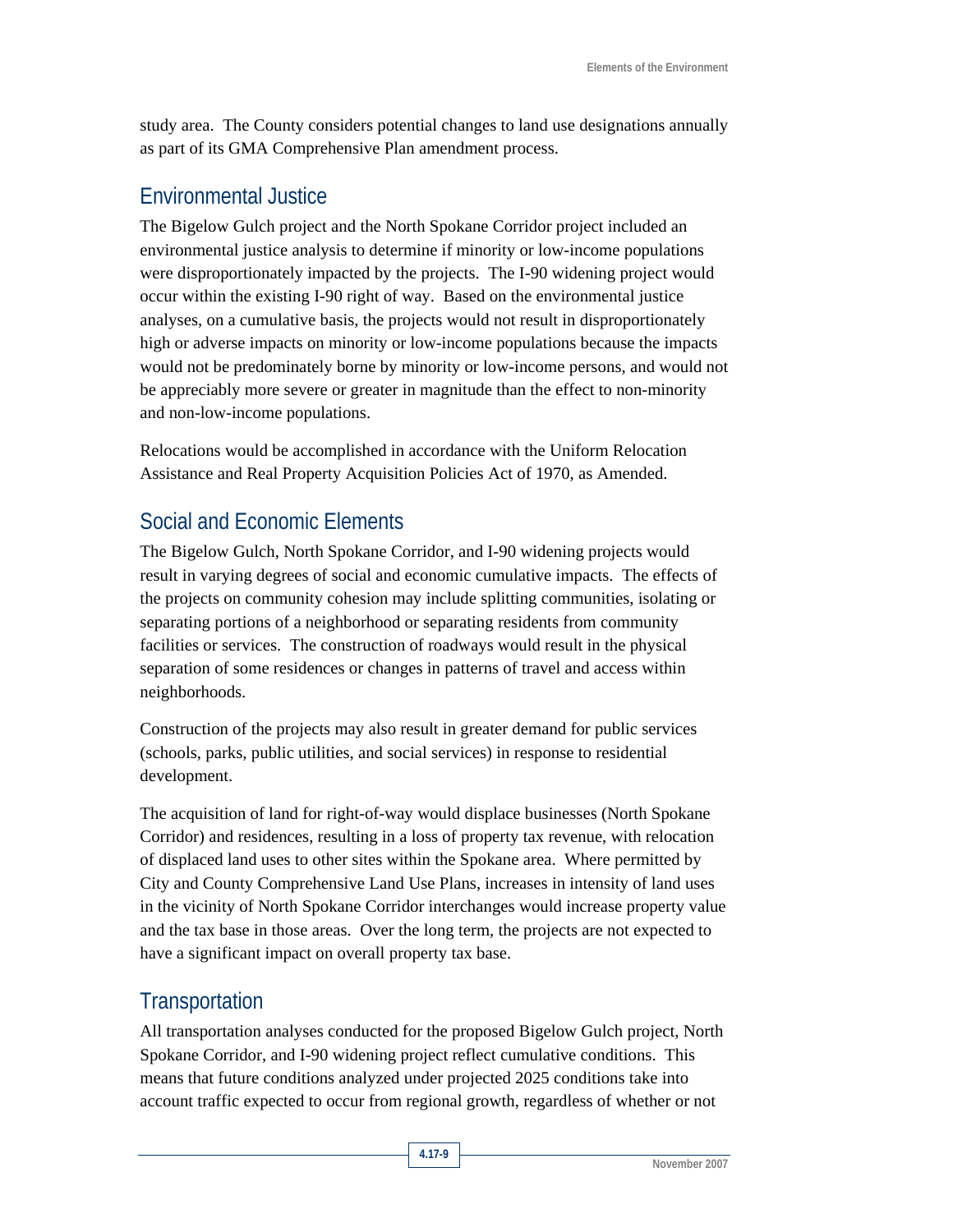study area. The County considers potential changes to land use designations annually as part of its GMA Comprehensive Plan amendment process.

#### Environmental Justice

The Bigelow Gulch project and the North Spokane Corridor project included an environmental justice analysis to determine if minority or low-income populations were disproportionately impacted by the projects. The I-90 widening project would occur within the existing I-90 right of way. Based on the environmental justice analyses, on a cumulative basis, the projects would not result in disproportionately high or adverse impacts on minority or low-income populations because the impacts would not be predominately borne by minority or low-income persons, and would not be appreciably more severe or greater in magnitude than the effect to non-minority and non-low-income populations.

Relocations would be accomplished in accordance with the Uniform Relocation Assistance and Real Property Acquisition Policies Act of 1970, as Amended.

# Social and Economic Elements

The Bigelow Gulch, North Spokane Corridor, and I-90 widening projects would result in varying degrees of social and economic cumulative impacts. The effects of the projects on community cohesion may include splitting communities, isolating or separating portions of a neighborhood or separating residents from community facilities or services. The construction of roadways would result in the physical separation of some residences or changes in patterns of travel and access within neighborhoods.

Construction of the projects may also result in greater demand for public services (schools, parks, public utilities, and social services) in response to residential development.

The acquisition of land for right-of-way would displace businesses (North Spokane Corridor) and residences, resulting in a loss of property tax revenue, with relocation of displaced land uses to other sites within the Spokane area. Where permitted by City and County Comprehensive Land Use Plans, increases in intensity of land uses in the vicinity of North Spokane Corridor interchanges would increase property value and the tax base in those areas. Over the long term, the projects are not expected to have a significant impact on overall property tax base.

### **Transportation**

All transportation analyses conducted for the proposed Bigelow Gulch project, North Spokane Corridor, and I-90 widening project reflect cumulative conditions. This means that future conditions analyzed under projected 2025 conditions take into account traffic expected to occur from regional growth, regardless of whether or not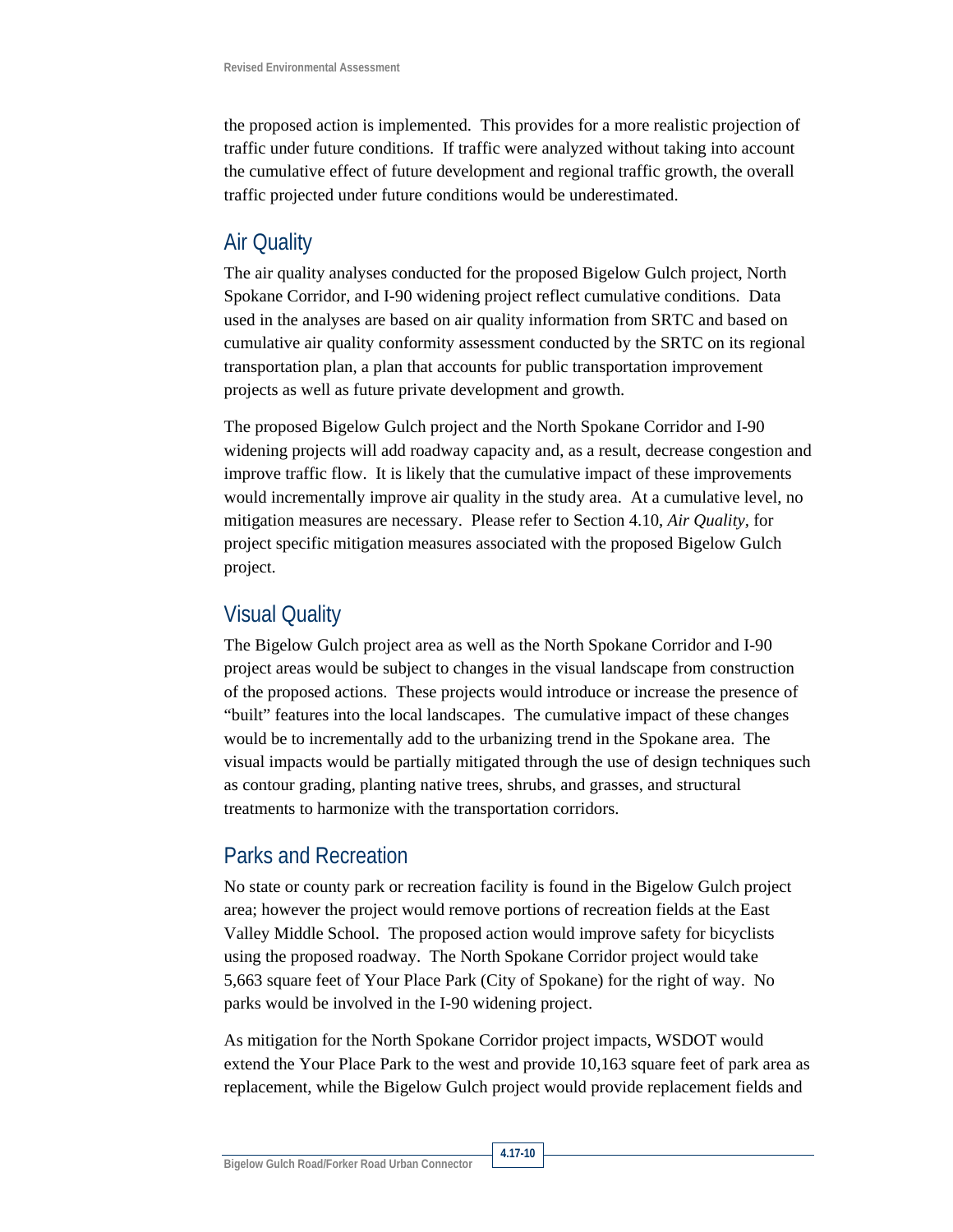the proposed action is implemented. This provides for a more realistic projection of traffic under future conditions. If traffic were analyzed without taking into account the cumulative effect of future development and regional traffic growth, the overall traffic projected under future conditions would be underestimated.

#### Air Quality

The air quality analyses conducted for the proposed Bigelow Gulch project, North Spokane Corridor, and I-90 widening project reflect cumulative conditions. Data used in the analyses are based on air quality information from SRTC and based on cumulative air quality conformity assessment conducted by the SRTC on its regional transportation plan, a plan that accounts for public transportation improvement projects as well as future private development and growth.

The proposed Bigelow Gulch project and the North Spokane Corridor and I-90 widening projects will add roadway capacity and, as a result, decrease congestion and improve traffic flow. It is likely that the cumulative impact of these improvements would incrementally improve air quality in the study area. At a cumulative level, no mitigation measures are necessary. Please refer to Section 4.10, *Air Quality,* for project specific mitigation measures associated with the proposed Bigelow Gulch project.

#### Visual Quality

The Bigelow Gulch project area as well as the North Spokane Corridor and I-90 project areas would be subject to changes in the visual landscape from construction of the proposed actions. These projects would introduce or increase the presence of "built" features into the local landscapes. The cumulative impact of these changes would be to incrementally add to the urbanizing trend in the Spokane area. The visual impacts would be partially mitigated through the use of design techniques such as contour grading, planting native trees, shrubs, and grasses, and structural treatments to harmonize with the transportation corridors.

### Parks and Recreation

No state or county park or recreation facility is found in the Bigelow Gulch project area; however the project would remove portions of recreation fields at the East Valley Middle School. The proposed action would improve safety for bicyclists using the proposed roadway. The North Spokane Corridor project would take 5,663 square feet of Your Place Park (City of Spokane) for the right of way. No parks would be involved in the I-90 widening project.

As mitigation for the North Spokane Corridor project impacts, WSDOT would extend the Your Place Park to the west and provide 10,163 square feet of park area as replacement, while the Bigelow Gulch project would provide replacement fields and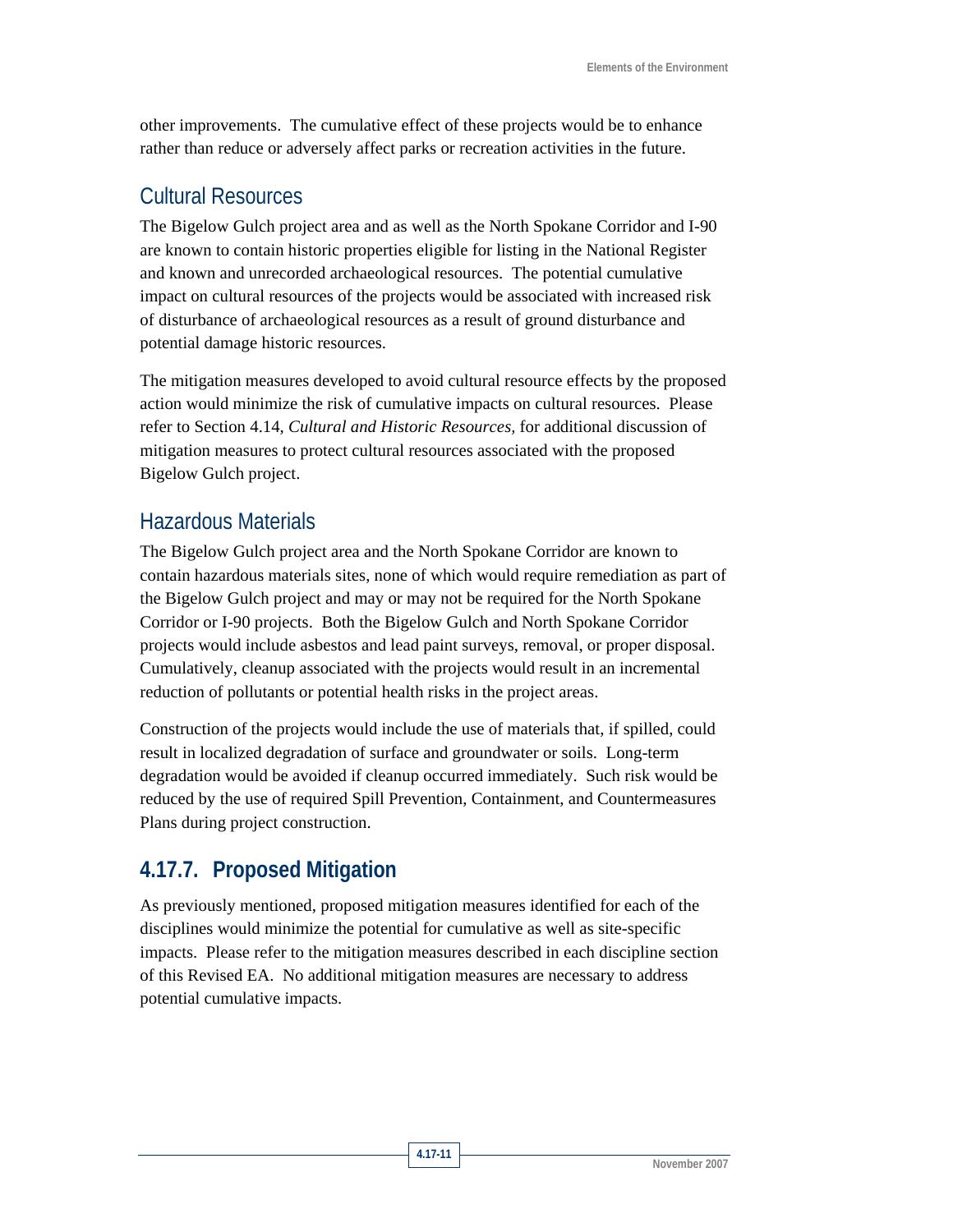other improvements. The cumulative effect of these projects would be to enhance rather than reduce or adversely affect parks or recreation activities in the future.

### Cultural Resources

The Bigelow Gulch project area and as well as the North Spokane Corridor and I-90 are known to contain historic properties eligible for listing in the National Register and known and unrecorded archaeological resources. The potential cumulative impact on cultural resources of the projects would be associated with increased risk of disturbance of archaeological resources as a result of ground disturbance and potential damage historic resources.

The mitigation measures developed to avoid cultural resource effects by the proposed action would minimize the risk of cumulative impacts on cultural resources. Please refer to Section 4.14, *Cultural and Historic Resources,* for additional discussion of mitigation measures to protect cultural resources associated with the proposed Bigelow Gulch project.

### Hazardous Materials

The Bigelow Gulch project area and the North Spokane Corridor are known to contain hazardous materials sites, none of which would require remediation as part of the Bigelow Gulch project and may or may not be required for the North Spokane Corridor or I-90 projects. Both the Bigelow Gulch and North Spokane Corridor projects would include asbestos and lead paint surveys, removal, or proper disposal. Cumulatively, cleanup associated with the projects would result in an incremental reduction of pollutants or potential health risks in the project areas.

Construction of the projects would include the use of materials that, if spilled, could result in localized degradation of surface and groundwater or soils. Long-term degradation would be avoided if cleanup occurred immediately. Such risk would be reduced by the use of required Spill Prevention, Containment, and Countermeasures Plans during project construction.

# **4.17.7. Proposed Mitigation**

As previously mentioned, proposed mitigation measures identified for each of the disciplines would minimize the potential for cumulative as well as site-specific impacts. Please refer to the mitigation measures described in each discipline section of this Revised EA. No additional mitigation measures are necessary to address potential cumulative impacts.